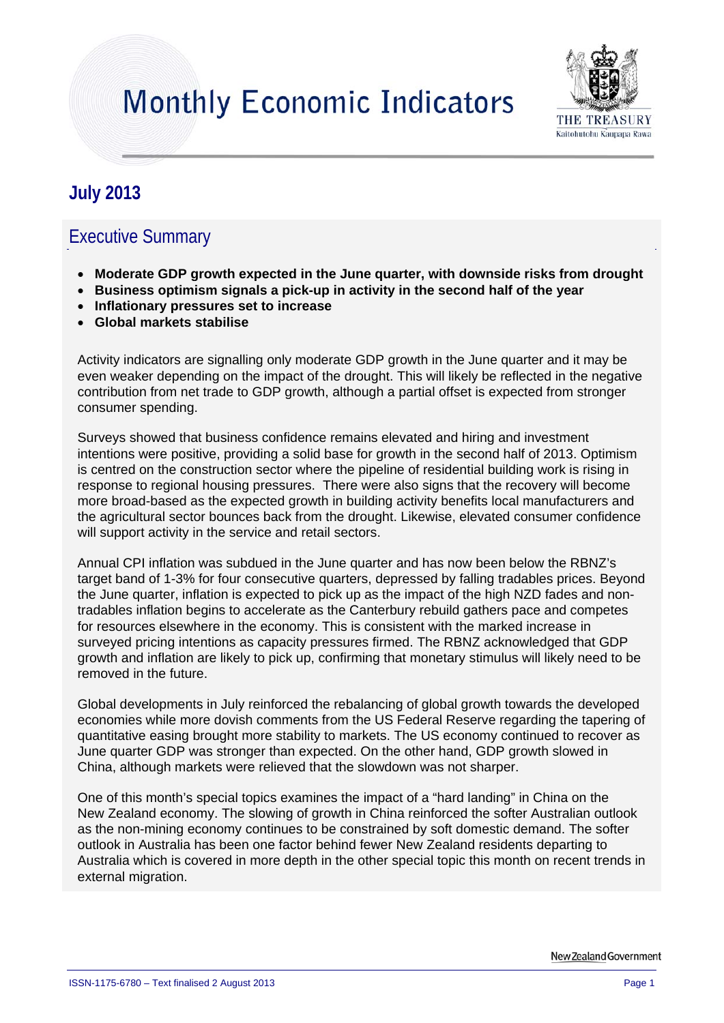# **Monthly Economic Indicators**



# **July 2013**

### Executive Summary

- **Moderate GDP growth expected in the June quarter, with downside risks from drought**
- **Business optimism signals a pick-up in activity in the second half of the year**
- **Inflationary pressures set to increase**
- **Global markets stabilise**

Activity indicators are signalling only moderate GDP growth in the June quarter and it may be even weaker depending on the impact of the drought. This will likely be reflected in the negative contribution from net trade to GDP growth, although a partial offset is expected from stronger consumer spending.

Surveys showed that business confidence remains elevated and hiring and investment intentions were positive, providing a solid base for growth in the second half of 2013. Optimism is centred on the construction sector where the pipeline of residential building work is rising in response to regional housing pressures. There were also signs that the recovery will become more broad-based as the expected growth in building activity benefits local manufacturers and the agricultural sector bounces back from the drought. Likewise, elevated consumer confidence will support activity in the service and retail sectors.

Annual CPI inflation was subdued in the June quarter and has now been below the RBNZ's target band of 1-3% for four consecutive quarters, depressed by falling tradables prices. Beyond the June quarter, inflation is expected to pick up as the impact of the high NZD fades and nontradables inflation begins to accelerate as the Canterbury rebuild gathers pace and competes for resources elsewhere in the economy. This is consistent with the marked increase in surveyed pricing intentions as capacity pressures firmed. The RBNZ acknowledged that GDP growth and inflation are likely to pick up, confirming that monetary stimulus will likely need to be removed in the future.

Global developments in July reinforced the rebalancing of global growth towards the developed economies while more dovish comments from the US Federal Reserve regarding the tapering of quantitative easing brought more stability to markets. The US economy continued to recover as June quarter GDP was stronger than expected. On the other hand, GDP growth slowed in China, although markets were relieved that the slowdown was not sharper.

One of this month's special topics examines the impact of a "hard landing" in China on the New Zealand economy. The slowing of growth in China reinforced the softer Australian outlook as the non-mining economy continues to be constrained by soft domestic demand. The softer outlook in Australia has been one factor behind fewer New Zealand residents departing to Australia which is covered in more depth in the other special topic this month on recent trends in external migration.

New Zealand Government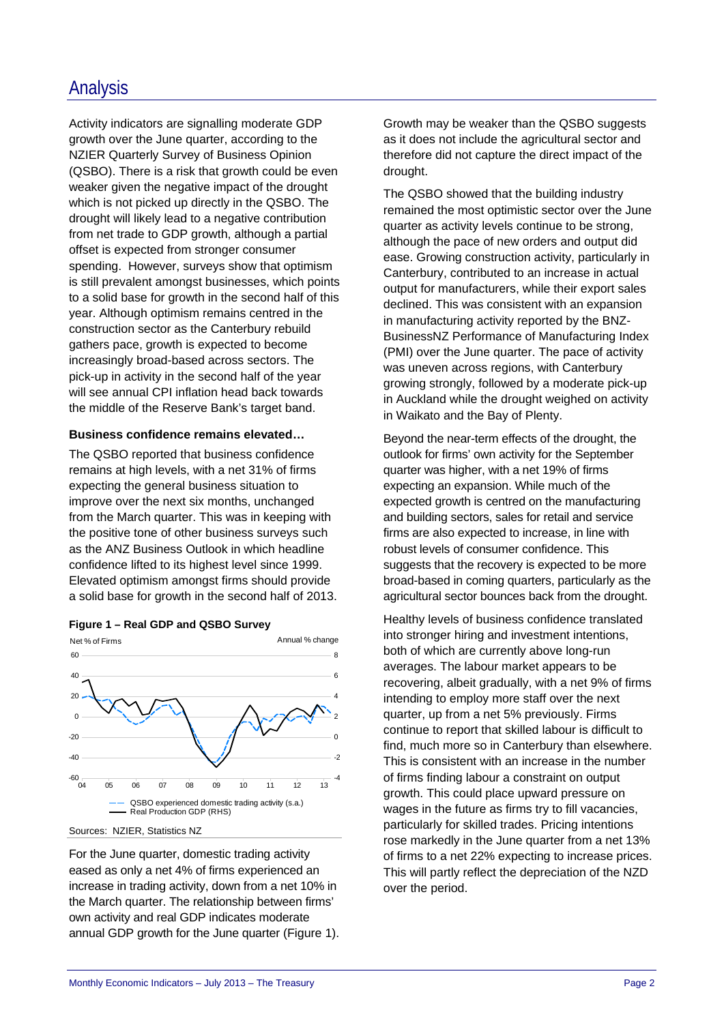### Analysis

Activity indicators are signalling moderate GDP growth over the June quarter, according to the NZIER Quarterly Survey of Business Opinion (QSBO). There is a risk that growth could be even weaker given the negative impact of the drought which is not picked up directly in the QSBO. The drought will likely lead to a negative contribution from net trade to GDP growth, although a partial offset is expected from stronger consumer spending. However, surveys show that optimism is still prevalent amongst businesses, which points to a solid base for growth in the second half of this year. Although optimism remains centred in the construction sector as the Canterbury rebuild gathers pace, growth is expected to become increasingly broad-based across sectors. The pick-up in activity in the second half of the year will see annual CPI inflation head back towards the middle of the Reserve Bank's target band.

#### **Business confidence remains elevated…**

The QSBO reported that business confidence remains at high levels, with a net 31% of firms expecting the general business situation to improve over the next six months, unchanged from the March quarter. This was in keeping with the positive tone of other business surveys such as the ANZ Business Outlook in which headline confidence lifted to its highest level since 1999. Elevated optimism amongst firms should provide a solid base for growth in the second half of 2013.





Sources: NZIER, Statistics NZ

For the June quarter, domestic trading activity eased as only a net 4% of firms experienced an increase in trading activity, down from a net 10% in the March quarter. The relationship between firms' own activity and real GDP indicates moderate annual GDP growth for the June quarter (Figure 1). Growth may be weaker than the QSBO suggests as it does not include the agricultural sector and therefore did not capture the direct impact of the drought.

The QSBO showed that the building industry remained the most optimistic sector over the June quarter as activity levels continue to be strong, although the pace of new orders and output did ease. Growing construction activity, particularly in Canterbury, contributed to an increase in actual output for manufacturers, while their export sales declined. This was consistent with an expansion in manufacturing activity reported by the BNZ-BusinessNZ Performance of Manufacturing Index (PMI) over the June quarter. The pace of activity was uneven across regions, with Canterbury growing strongly, followed by a moderate pick-up in Auckland while the drought weighed on activity in Waikato and the Bay of Plenty.

Beyond the near-term effects of the drought, the outlook for firms' own activity for the September quarter was higher, with a net 19% of firms expecting an expansion. While much of the expected growth is centred on the manufacturing and building sectors, sales for retail and service firms are also expected to increase, in line with robust levels of consumer confidence. This suggests that the recovery is expected to be more broad-based in coming quarters, particularly as the agricultural sector bounces back from the drought.

Healthy levels of business confidence translated into stronger hiring and investment intentions, both of which are currently above long-run averages. The labour market appears to be recovering, albeit gradually, with a net 9% of firms intending to employ more staff over the next quarter, up from a net 5% previously. Firms continue to report that skilled labour is difficult to find, much more so in Canterbury than elsewhere. This is consistent with an increase in the number of firms finding labour a constraint on output growth. This could place upward pressure on wages in the future as firms try to fill vacancies, particularly for skilled trades. Pricing intentions rose markedly in the June quarter from a net 13% of firms to a net 22% expecting to increase prices. This will partly reflect the depreciation of the NZD over the period.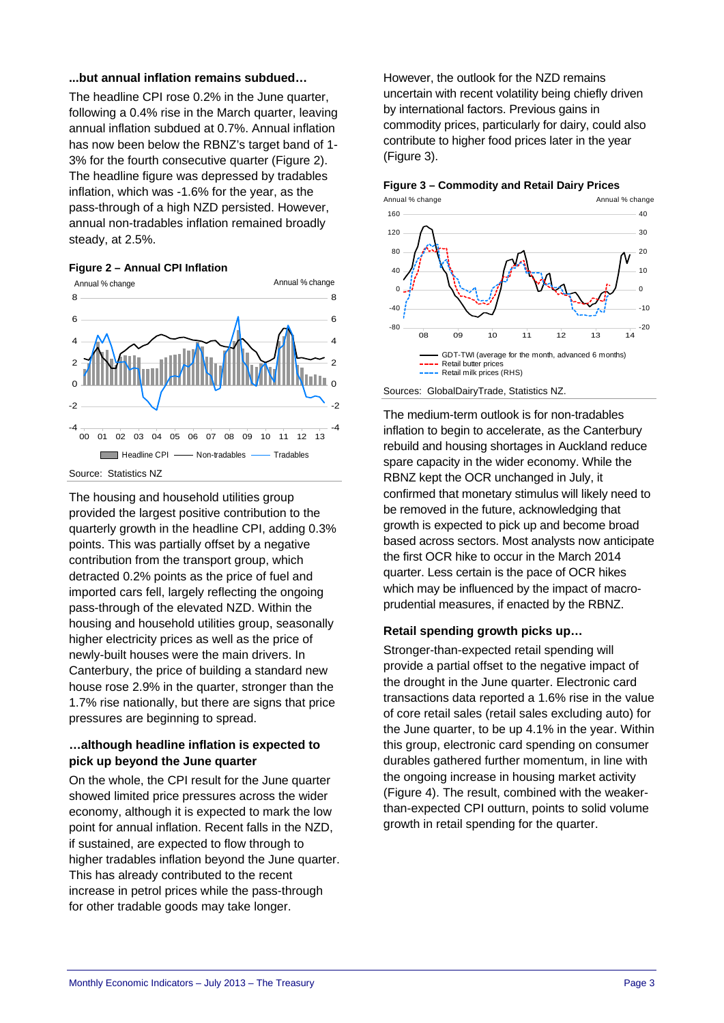#### **...but annual inflation remains subdued…**

The headline CPI rose 0.2% in the June quarter, following a 0.4% rise in the March quarter, leaving annual inflation subdued at 0.7%. Annual inflation has now been below the RBNZ's target band of 1-3% for the fourth consecutive quarter (Figure 2). The headline figure was depressed by tradables inflation, which was -1.6% for the year, as the pass-through of a high NZD persisted. However, annual non-tradables inflation remained broadly steady, at 2.5%.





The housing and household utilities group provided the largest positive contribution to the quarterly growth in the headline CPI, adding 0.3% points. This was partially offset by a negative contribution from the transport group, which detracted 0.2% points as the price of fuel and imported cars fell, largely reflecting the ongoing pass-through of the elevated NZD. Within the housing and household utilities group, seasonally higher electricity prices as well as the price of newly-built houses were the main drivers. In Canterbury, the price of building a standard new house rose 2.9% in the quarter, stronger than the 1.7% rise nationally, but there are signs that price pressures are beginning to spread.

#### **…although headline inflation is expected to pick up beyond the June quarter**

On the whole, the CPI result for the June quarter showed limited price pressures across the wider economy, although it is expected to mark the low point for annual inflation. Recent falls in the NZD, if sustained, are expected to flow through to higher tradables inflation beyond the June quarter. This has already contributed to the recent increase in petrol prices while the pass-through for other tradable goods may take longer.

However, the outlook for the NZD remains uncertain with recent volatility being chiefly driven by international factors. Previous gains in commodity prices, particularly for dairy, could also contribute to higher food prices later in the year (Figure 3).





Sources: GlobalDairyTrade, Statistics NZ.

The medium-term outlook is for non-tradables inflation to begin to accelerate, as the Canterbury rebuild and housing shortages in Auckland reduce spare capacity in the wider economy. While the RBNZ kept the OCR unchanged in July, it confirmed that monetary stimulus will likely need to be removed in the future, acknowledging that growth is expected to pick up and become broad based across sectors. Most analysts now anticipate the first OCR hike to occur in the March 2014 quarter. Less certain is the pace of OCR hikes which may be influenced by the impact of macroprudential measures, if enacted by the RBNZ.

#### **Retail spending growth picks up…**

Stronger-than-expected retail spending will provide a partial offset to the negative impact of the drought in the June quarter. Electronic card transactions data reported a 1.6% rise in the value of core retail sales (retail sales excluding auto) for the June quarter, to be up 4.1% in the year. Within this group, electronic card spending on consumer durables gathered further momentum, in line with the ongoing increase in housing market activity (Figure 4). The result, combined with the weakerthan-expected CPI outturn, points to solid volume growth in retail spending for the quarter.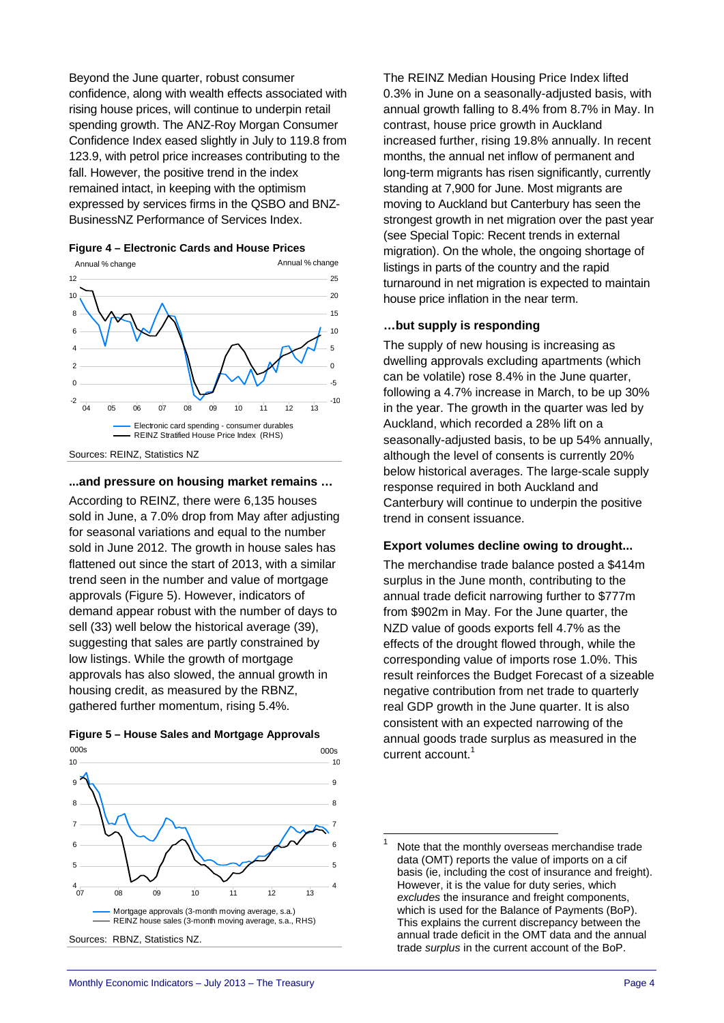Beyond the June quarter, robust consumer confidence, along with wealth effects associated with rising house prices, will continue to underpin retail spending growth. The ANZ-Roy Morgan Consumer Confidence Index eased slightly in July to 119.8 from 123.9, with petrol price increases contributing to the fall. However, the positive trend in the index remained intact, in keeping with the optimism expressed by services firms in the QSBO and BNZ-BusinessNZ Performance of Services Index.





Sources: REINZ, Statistics NZ

#### **...and pressure on housing market remains …**

According to REINZ, there were 6,135 houses sold in June, a 7.0% drop from May after adjusting for seasonal variations and equal to the number sold in June 2012. The growth in house sales has flattened out since the start of 2013, with a similar trend seen in the number and value of mortgage approvals (Figure 5). However, indicators of demand appear robust with the number of days to sell (33) well below the historical average (39), suggesting that sales are partly constrained by low listings. While the growth of mortgage approvals has also slowed, the annual growth in housing credit, as measured by the RBNZ, gathered further momentum, rising 5.4%.





The REINZ Median Housing Price Index lifted 0.3% in June on a seasonally-adjusted basis, with annual growth falling to 8.4% from 8.7% in May. In contrast, house price growth in Auckland increased further, rising 19.8% annually. In recent months, the annual net inflow of permanent and long-term migrants has risen significantly, currently standing at 7,900 for June. Most migrants are moving to Auckland but Canterbury has seen the strongest growth in net migration over the past year (see Special Topic: Recent trends in external migration). On the whole, the ongoing shortage of listings in parts of the country and the rapid turnaround in net migration is expected to maintain house price inflation in the near term.

#### **…but supply is responding**

The supply of new housing is increasing as dwelling approvals excluding apartments (which can be volatile) rose 8.4% in the June quarter, following a 4.7% increase in March, to be up 30% in the year. The growth in the quarter was led by Auckland, which recorded a 28% lift on a seasonally-adjusted basis, to be up 54% annually, although the level of consents is currently 20% below historical averages. The large-scale supply response required in both Auckland and Canterbury will continue to underpin the positive trend in consent issuance.

#### **Export volumes decline owing to drought...**

The merchandise trade balance posted a \$414m surplus in the June month, contributing to the annual trade deficit narrowing further to \$777m from \$902m in May. For the June quarter, the NZD value of goods exports fell 4.7% as the effects of the drought flowed through, while the corresponding value of imports rose 1.0%. This result reinforces the Budget Forecast of a sizeable negative contribution from net trade to quarterly real GDP growth in the June quarter. It is also consistent with an expected narrowing of the annual goods trade surplus as measured in the current account. $1$ 

-

<sup>1</sup> Note that the monthly overseas merchandise trade data (OMT) reports the value of imports on a cif basis (ie, including the cost of insurance and freight). However, it is the value for duty series, which *excludes* the insurance and freight components, which is used for the Balance of Payments (BoP). This explains the current discrepancy between the annual trade deficit in the OMT data and the annual trade *surplus* in the current account of the BoP.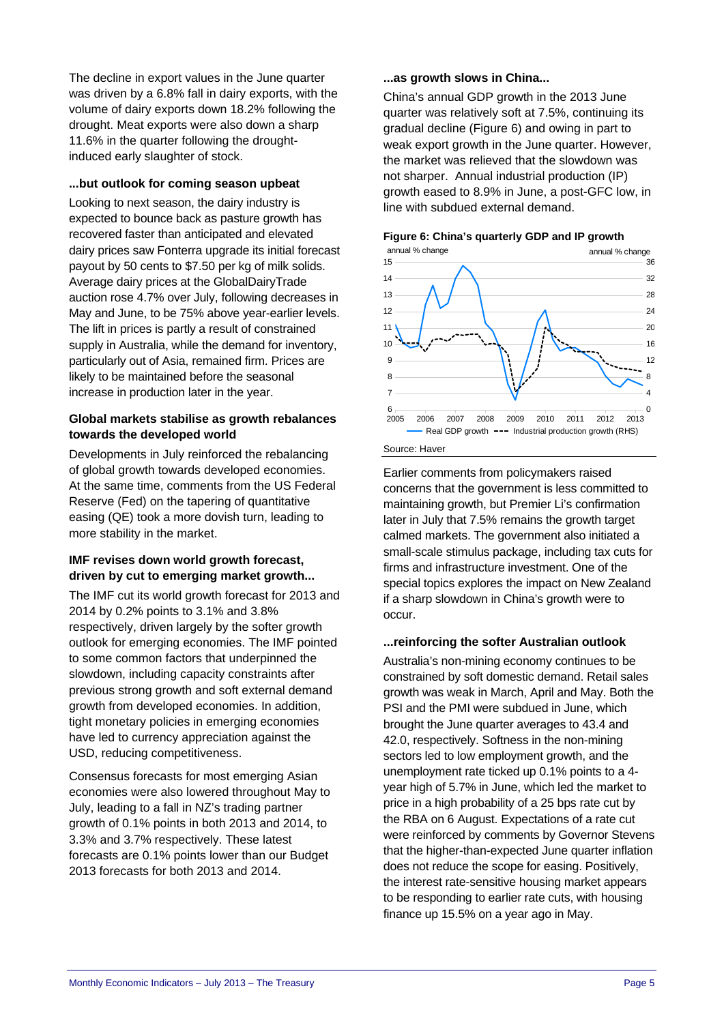The decline in export values in the June quarter was driven by a 6.8% fall in dairy exports, with the volume of dairy exports down 18.2% following the drought. Meat exports were also down a sharp 11.6% in the quarter following the droughtinduced early slaughter of stock.

#### **...but outlook for coming season upbeat**

Looking to next season, the dairy industry is expected to bounce back as pasture growth has recovered faster than anticipated and elevated dairy prices saw Fonterra upgrade its initial forecast payout by 50 cents to \$7.50 per kg of milk solids. Average dairy prices at the GlobalDairyTrade auction rose 4.7% over July, following decreases in May and June, to be 75% above year-earlier levels. The lift in prices is partly a result of constrained supply in Australia, while the demand for inventory, particularly out of Asia, remained firm. Prices are likely to be maintained before the seasonal increase in production later in the year.

#### **Global markets stabilise as growth rebalances towards the developed world**

Developments in July reinforced the rebalancing of global growth towards developed economies. At the same time, comments from the US Federal Reserve (Fed) on the tapering of quantitative easing (QE) took a more dovish turn, leading to more stability in the market.

#### **IMF revises down world growth forecast, driven by cut to emerging market growth...**

The IMF cut its world growth forecast for 2013 and 2014 by 0.2% points to 3.1% and 3.8% respectively, driven largely by the softer growth outlook for emerging economies. The IMF pointed to some common factors that underpinned the slowdown, including capacity constraints after previous strong growth and soft external demand growth from developed economies. In addition, tight monetary policies in emerging economies have led to currency appreciation against the USD, reducing competitiveness.

Consensus forecasts for most emerging Asian economies were also lowered throughout May to July, leading to a fall in NZ's trading partner growth of 0.1% points in both 2013 and 2014, to 3.3% and 3.7% respectively. These latest forecasts are 0.1% points lower than our Budget 2013 forecasts for both 2013 and 2014.

#### **...as growth slows in China...**

China's annual GDP growth in the 2013 June quarter was relatively soft at 7.5%, continuing its gradual decline (Figure 6) and owing in part to weak export growth in the June quarter. However, the market was relieved that the slowdown was not sharper. Annual industrial production (IP) growth eased to 8.9% in June, a post-GFC low, in line with subdued external demand.



#### **Figure 6: China's quarterly GDP and IP growth**

Earlier comments from policymakers raised concerns that the government is less committed to maintaining growth, but Premier Li's confirmation later in July that 7.5% remains the growth target calmed markets. The government also initiated a small-scale stimulus package, including tax cuts for firms and infrastructure investment. One of the special topics explores the impact on New Zealand if a sharp slowdown in China's growth were to occur.

#### **...reinforcing the softer Australian outlook**

Australia's non-mining economy continues to be constrained by soft domestic demand. Retail sales growth was weak in March, April and May. Both the PSI and the PMI were subdued in June, which brought the June quarter averages to 43.4 and 42.0, respectively. Softness in the non-mining sectors led to low employment growth, and the unemployment rate ticked up 0.1% points to a 4 year high of 5.7% in June, which led the market to price in a high probability of a 25 bps rate cut by the RBA on 6 August. Expectations of a rate cut were reinforced by comments by Governor Stevens that the higher-than-expected June quarter inflation does not reduce the scope for easing. Positively, the interest rate-sensitive housing market appears to be responding to earlier rate cuts, with housing finance up 15.5% on a year ago in May.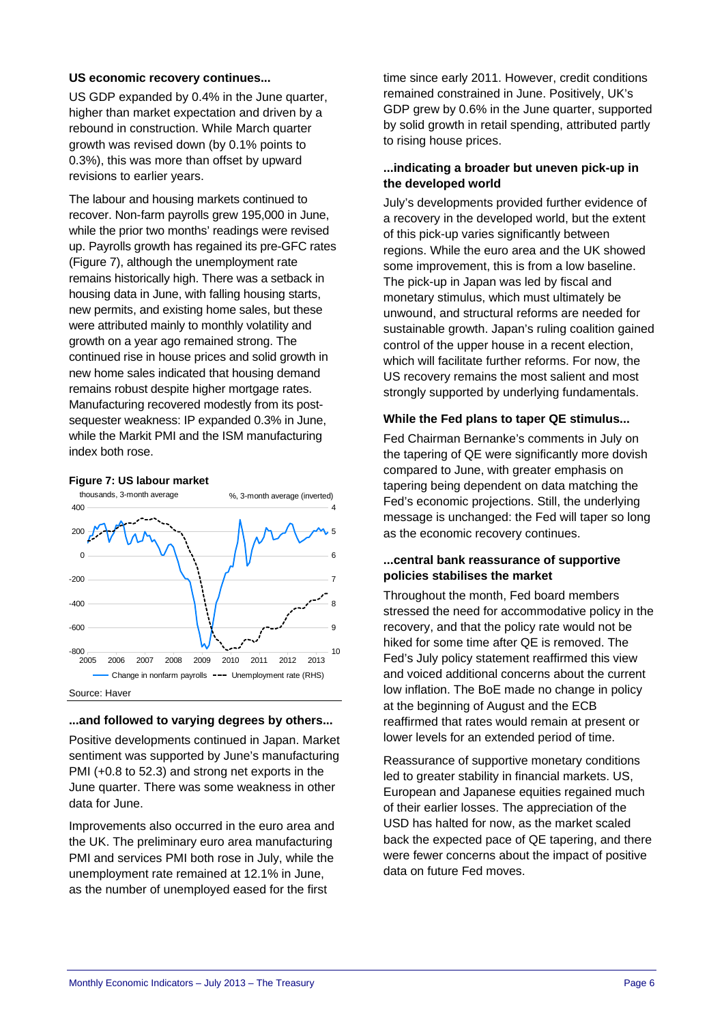#### **US economic recovery continues...**

US GDP expanded by 0.4% in the June quarter, higher than market expectation and driven by a rebound in construction. While March quarter growth was revised down (by 0.1% points to 0.3%), this was more than offset by upward revisions to earlier years.

The labour and housing markets continued to recover. Non-farm payrolls grew 195,000 in June, while the prior two months' readings were revised up. Payrolls growth has regained its pre-GFC rates (Figure 7), although the unemployment rate remains historically high. There was a setback in housing data in June, with falling housing starts, new permits, and existing home sales, but these were attributed mainly to monthly volatility and growth on a year ago remained strong. The continued rise in house prices and solid growth in new home sales indicated that housing demand remains robust despite higher mortgage rates. Manufacturing recovered modestly from its postsequester weakness: IP expanded 0.3% in June, while the Markit PMI and the ISM manufacturing index both rose.

#### **Figure 7: US labour market**



#### **...and followed to varying degrees by others...**

Positive developments continued in Japan. Market sentiment was supported by June's manufacturing PMI (+0.8 to 52.3) and strong net exports in the June quarter. There was some weakness in other data for June.

Improvements also occurred in the euro area and the UK. The preliminary euro area manufacturing PMI and services PMI both rose in July, while the unemployment rate remained at 12.1% in June, as the number of unemployed eased for the first

time since early 2011. However, credit conditions remained constrained in June. Positively, UK's GDP grew by 0.6% in the June quarter, supported by solid growth in retail spending, attributed partly to rising house prices.

#### **...indicating a broader but uneven pick-up in the developed world**

July's developments provided further evidence of a recovery in the developed world, but the extent of this pick-up varies significantly between regions. While the euro area and the UK showed some improvement, this is from a low baseline. The pick-up in Japan was led by fiscal and monetary stimulus, which must ultimately be unwound, and structural reforms are needed for sustainable growth. Japan's ruling coalition gained control of the upper house in a recent election, which will facilitate further reforms. For now, the US recovery remains the most salient and most strongly supported by underlying fundamentals.

#### **While the Fed plans to taper QE stimulus...**

Fed Chairman Bernanke's comments in July on the tapering of QE were significantly more dovish compared to June, with greater emphasis on tapering being dependent on data matching the Fed's economic projections. Still, the underlying message is unchanged: the Fed will taper so long as the economic recovery continues.

#### **...central bank reassurance of supportive policies stabilises the market**

Throughout the month, Fed board members stressed the need for accommodative policy in the recovery, and that the policy rate would not be hiked for some time after QE is removed. The Fed's July policy statement reaffirmed this view and voiced additional concerns about the current low inflation. The BoE made no change in policy at the beginning of August and the ECB reaffirmed that rates would remain at present or lower levels for an extended period of time.

Reassurance of supportive monetary conditions led to greater stability in financial markets. US, European and Japanese equities regained much of their earlier losses. The appreciation of the USD has halted for now, as the market scaled back the expected pace of QE tapering, and there were fewer concerns about the impact of positive data on future Fed moves.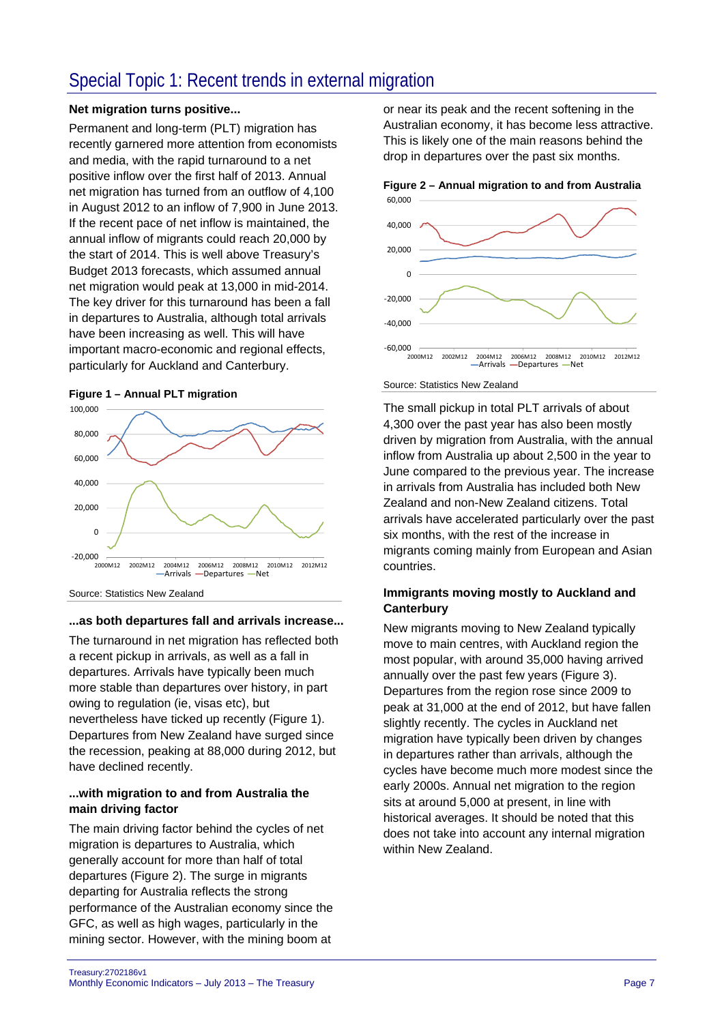### Special Topic 1: Recent trends in external migration

#### **Net migration turns positive...**

Permanent and long-term (PLT) migration has recently garnered more attention from economists and media, with the rapid turnaround to a net positive inflow over the first half of 2013. Annual net migration has turned from an outflow of 4,100 in August 2012 to an inflow of 7,900 in June 2013. If the recent pace of net inflow is maintained, the annual inflow of migrants could reach 20,000 by the start of 2014. This is well above Treasury's Budget 2013 forecasts, which assumed annual net migration would peak at 13,000 in mid-2014. The key driver for this turnaround has been a fall in departures to Australia, although total arrivals have been increasing as well. This will have important macro-economic and regional effects, particularly for Auckland and Canterbury.



**Figure 1 – Annual PLT migration** 

Source: Statistics New Zealand

#### **...as both departures fall and arrivals increase...**

The turnaround in net migration has reflected both a recent pickup in arrivals, as well as a fall in departures. Arrivals have typically been much more stable than departures over history, in part owing to regulation (ie, visas etc), but nevertheless have ticked up recently (Figure 1). Departures from New Zealand have surged since the recession, peaking at 88,000 during 2012, but have declined recently.

#### **...with migration to and from Australia the main driving factor**

The main driving factor behind the cycles of net migration is departures to Australia, which generally account for more than half of total departures (Figure 2). The surge in migrants departing for Australia reflects the strong performance of the Australian economy since the GFC, as well as high wages, particularly in the mining sector. However, with the mining boom at

or near its peak and the recent softening in the Australian economy, it has become less attractive. This is likely one of the main reasons behind the drop in departures over the past six months.





Source: Statistics New Zealand

The small pickup in total PLT arrivals of about 4,300 over the past year has also been mostly driven by migration from Australia, with the annual inflow from Australia up about 2,500 in the year to June compared to the previous year. The increase in arrivals from Australia has included both New Zealand and non-New Zealand citizens. Total arrivals have accelerated particularly over the past six months, with the rest of the increase in migrants coming mainly from European and Asian countries.

#### **Immigrants moving mostly to Auckland and Canterbury**

New migrants moving to New Zealand typically move to main centres, with Auckland region the most popular, with around 35,000 having arrived annually over the past few years (Figure 3). Departures from the region rose since 2009 to peak at 31,000 at the end of 2012, but have fallen slightly recently. The cycles in Auckland net migration have typically been driven by changes in departures rather than arrivals, although the cycles have become much more modest since the early 2000s. Annual net migration to the region sits at around 5,000 at present, in line with historical averages. It should be noted that this does not take into account any internal migration within New Zealand.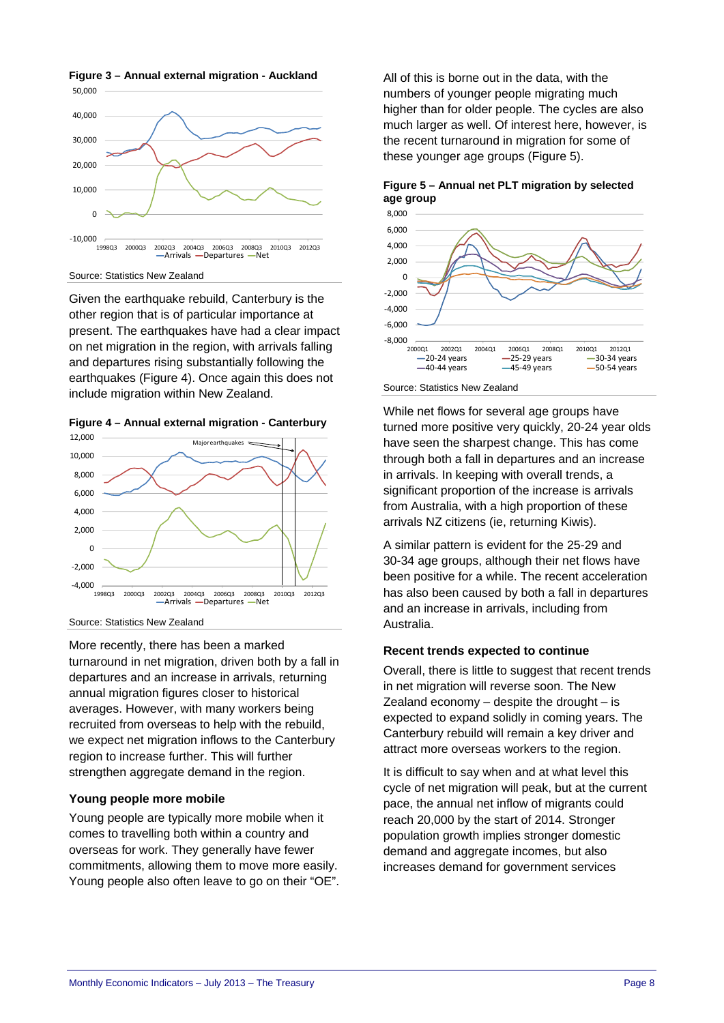

**Figure 3 – Annual external migration - Auckland** 

Source: Statistics New Zealand

Given the earthquake rebuild, Canterbury is the other region that is of particular importance at present. The earthquakes have had a clear impact on net migration in the region, with arrivals falling and departures rising substantially following the earthquakes (Figure 4). Once again this does not include migration within New Zealand.

**Figure 4 – Annual external migration - Canterbury** 



Source: Statistics New Zealand

More recently, there has been a marked turnaround in net migration, driven both by a fall in departures and an increase in arrivals, returning annual migration figures closer to historical averages. However, with many workers being recruited from overseas to help with the rebuild, we expect net migration inflows to the Canterbury region to increase further. This will further strengthen aggregate demand in the region.

#### **Young people more mobile**

Young people are typically more mobile when it comes to travelling both within a country and overseas for work. They generally have fewer commitments, allowing them to move more easily. Young people also often leave to go on their "OE". All of this is borne out in the data, with the numbers of younger people migrating much higher than for older people. The cycles are also much larger as well. Of interest here, however, is the recent turnaround in migration for some of these younger age groups (Figure 5).





Source: Statistics New Zealand

While net flows for several age groups have turned more positive very quickly, 20-24 year olds have seen the sharpest change. This has come through both a fall in departures and an increase in arrivals. In keeping with overall trends, a significant proportion of the increase is arrivals from Australia, with a high proportion of these arrivals NZ citizens (ie, returning Kiwis).

A similar pattern is evident for the 25-29 and 30-34 age groups, although their net flows have been positive for a while. The recent acceleration has also been caused by both a fall in departures and an increase in arrivals, including from Australia.

#### **Recent trends expected to continue**

Overall, there is little to suggest that recent trends in net migration will reverse soon. The New Zealand economy  $-$  despite the drought  $-$  is expected to expand solidly in coming years. The Canterbury rebuild will remain a key driver and attract more overseas workers to the region.

It is difficult to say when and at what level this cycle of net migration will peak, but at the current pace, the annual net inflow of migrants could reach 20,000 by the start of 2014. Stronger population growth implies stronger domestic demand and aggregate incomes, but also increases demand for government services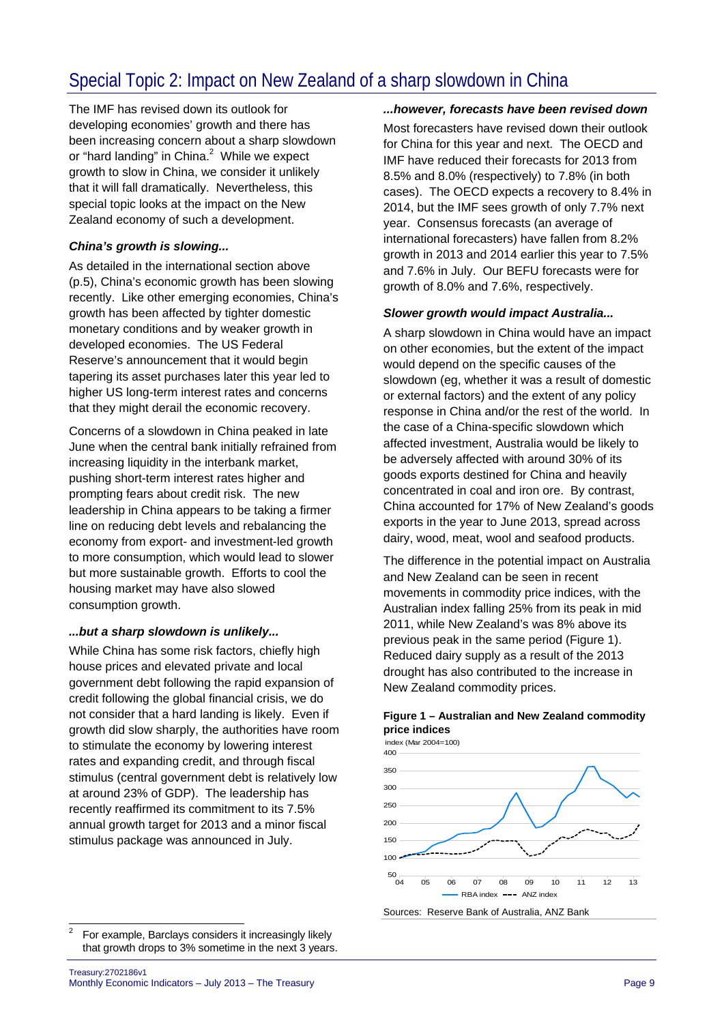# Special Topic 2: Impact on New Zealand of a sharp slowdown in China

The IMF has revised down its outlook for developing economies' growth and there has been increasing concern about a sharp slowdown or "hard landing" in China. $^2$  While we expect growth to slow in China, we consider it unlikely that it will fall dramatically. Nevertheless, this special topic looks at the impact on the New Zealand economy of such a development.

#### *China's growth is slowing...*

As detailed in the international section above (p.5), China's economic growth has been slowing recently. Like other emerging economies, China's growth has been affected by tighter domestic monetary conditions and by weaker growth in developed economies. The US Federal Reserve's announcement that it would begin tapering its asset purchases later this year led to higher US long-term interest rates and concerns that they might derail the economic recovery.

Concerns of a slowdown in China peaked in late June when the central bank initially refrained from increasing liquidity in the interbank market, pushing short-term interest rates higher and prompting fears about credit risk. The new leadership in China appears to be taking a firmer line on reducing debt levels and rebalancing the economy from export- and investment-led growth to more consumption, which would lead to slower but more sustainable growth. Efforts to cool the housing market may have also slowed consumption growth.

#### *...but a sharp slowdown is unlikely...*

While China has some risk factors, chiefly high house prices and elevated private and local government debt following the rapid expansion of credit following the global financial crisis, we do not consider that a hard landing is likely. Even if growth did slow sharply, the authorities have room to stimulate the economy by lowering interest rates and expanding credit, and through fiscal stimulus (central government debt is relatively low at around 23% of GDP). The leadership has recently reaffirmed its commitment to its 7.5% annual growth target for 2013 and a minor fiscal stimulus package was announced in July.

#### *...however, forecasts have been revised down*

Most forecasters have revised down their outlook for China for this year and next. The OECD and IMF have reduced their forecasts for 2013 from 8.5% and 8.0% (respectively) to 7.8% (in both cases). The OECD expects a recovery to 8.4% in 2014, but the IMF sees growth of only 7.7% next year. Consensus forecasts (an average of international forecasters) have fallen from 8.2% growth in 2013 and 2014 earlier this year to 7.5% and 7.6% in July. Our BEFU forecasts were for growth of 8.0% and 7.6%, respectively.

#### *Slower growth would impact Australia...*

A sharp slowdown in China would have an impact on other economies, but the extent of the impact would depend on the specific causes of the slowdown (eg, whether it was a result of domestic or external factors) and the extent of any policy response in China and/or the rest of the world. In the case of a China-specific slowdown which affected investment, Australia would be likely to be adversely affected with around 30% of its goods exports destined for China and heavily concentrated in coal and iron ore. By contrast, China accounted for 17% of New Zealand's goods exports in the year to June 2013, spread across dairy, wood, meat, wool and seafood products.

The difference in the potential impact on Australia and New Zealand can be seen in recent movements in commodity price indices, with the Australian index falling 25% from its peak in mid 2011, while New Zealand's was 8% above its previous peak in the same period (Figure 1). Reduced dairy supply as a result of the 2013 drought has also contributed to the increase in New Zealand commodity prices.



#### **Figure 1 – Australian and New Zealand commodity price indices**

 $\frac{1}{2}$ 

For example, Barclays considers it increasingly likely that growth drops to 3% sometime in the next 3 years.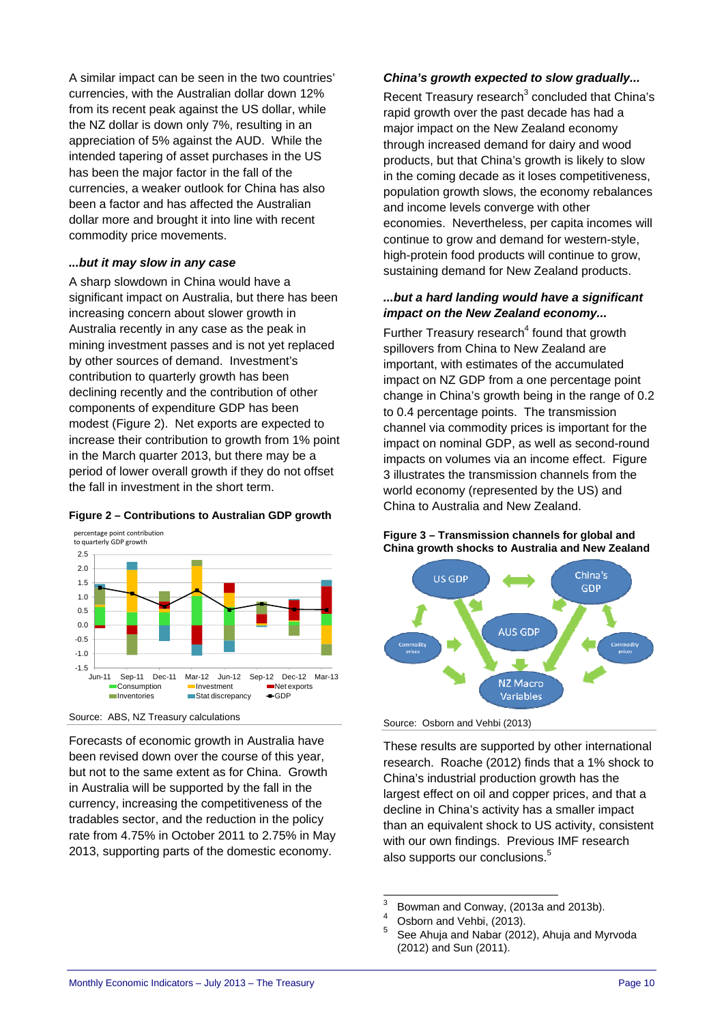A similar impact can be seen in the two countries' currencies, with the Australian dollar down 12% from its recent peak against the US dollar, while the NZ dollar is down only 7%, resulting in an appreciation of 5% against the AUD. While the intended tapering of asset purchases in the US has been the major factor in the fall of the currencies, a weaker outlook for China has also been a factor and has affected the Australian dollar more and brought it into line with recent commodity price movements.

#### *...but it may slow in any case*

A sharp slowdown in China would have a significant impact on Australia, but there has been increasing concern about slower growth in Australia recently in any case as the peak in mining investment passes and is not yet replaced by other sources of demand. Investment's contribution to quarterly growth has been declining recently and the contribution of other components of expenditure GDP has been modest (Figure 2). Net exports are expected to increase their contribution to growth from 1% point in the March quarter 2013, but there may be a period of lower overall growth if they do not offset the fall in investment in the short term.

#### **Figure 2 – Contributions to Australian GDP growth**



Source: ABS, NZ Treasury calculations

Forecasts of economic growth in Australia have been revised down over the course of this year, but not to the same extent as for China. Growth in Australia will be supported by the fall in the currency, increasing the competitiveness of the tradables sector, and the reduction in the policy rate from 4.75% in October 2011 to 2.75% in May 2013, supporting parts of the domestic economy.

#### *China's growth expected to slow gradually...*

Recent Treasury research $3$  concluded that China's rapid growth over the past decade has had a major impact on the New Zealand economy through increased demand for dairy and wood products, but that China's growth is likely to slow in the coming decade as it loses competitiveness, population growth slows, the economy rebalances and income levels converge with other economies. Nevertheless, per capita incomes will continue to grow and demand for western-style, high-protein food products will continue to grow, sustaining demand for New Zealand products.

#### *...but a hard landing would have a significant impact on the New Zealand economy...*

Further Treasury research $4$  found that growth spillovers from China to New Zealand are important, with estimates of the accumulated impact on NZ GDP from a one percentage point change in China's growth being in the range of 0.2 to 0.4 percentage points. The transmission channel via commodity prices is important for the impact on nominal GDP, as well as second-round impacts on volumes via an income effect. Figure 3 illustrates the transmission channels from the world economy (represented by the US) and China to Australia and New Zealand.

#### **Figure 3 – Transmission channels for global and China growth shocks to Australia and New Zealand**



Source: Osborn and Vehbi (2013)

These results are supported by other international research. Roache (2012) finds that a 1% shock to China's industrial production growth has the largest effect on oil and copper prices, and that a decline in China's activity has a smaller impact than an equivalent shock to US activity, consistent with our own findings. Previous IMF research also supports our conclusions.<sup>5</sup>

 $\frac{1}{3}$ Bowman and Conway, (2013a and 2013b).

<sup>4</sup> Osborn and Vehbi, (2013).

<sup>5</sup> See Ahuja and Nabar (2012), Ahuja and Myrvoda (2012) and Sun (2011).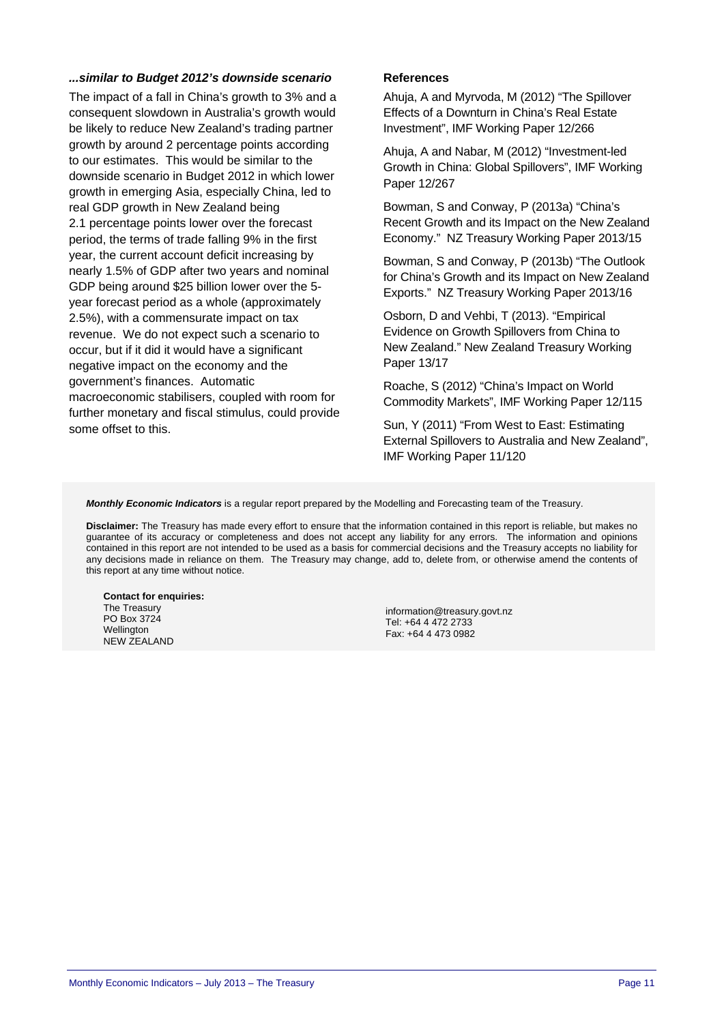#### *...similar to Budget 2012's downside scenario*

The impact of a fall in China's growth to 3% and a consequent slowdown in Australia's growth would be likely to reduce New Zealand's trading partner growth by around 2 percentage points according to our estimates. This would be similar to the downside scenario in Budget 2012 in which lower growth in emerging Asia, especially China, led to real GDP growth in New Zealand being 2.1 percentage points lower over the forecast period, the terms of trade falling 9% in the first year, the current account deficit increasing by nearly 1.5% of GDP after two years and nominal GDP being around \$25 billion lower over the 5 year forecast period as a whole (approximately 2.5%), with a commensurate impact on tax revenue. We do not expect such a scenario to occur, but if it did it would have a significant negative impact on the economy and the government's finances. Automatic macroeconomic stabilisers, coupled with room for further monetary and fiscal stimulus, could provide some offset to this.

#### **References**

Ahuja, A and Myrvoda, M (2012) "The Spillover Effects of a Downturn in China's Real Estate Investment", IMF Working Paper 12/266

Ahuja, A and Nabar, M (2012) "Investment-led Growth in China: Global Spillovers", IMF Working Paper 12/267

Bowman, S and Conway, P (2013a) "China's Recent Growth and its Impact on the New Zealand Economy." NZ Treasury Working Paper 2013/15

Bowman, S and Conway, P (2013b) "The Outlook for China's Growth and its Impact on New Zealand Exports." NZ Treasury Working Paper 2013/16

Osborn, D and Vehbi, T (2013). "Empirical Evidence on Growth Spillovers from China to New Zealand." New Zealand Treasury Working Paper 13/17

Roache, S (2012) "China's Impact on World Commodity Markets", IMF Working Paper 12/115

Sun, Y (2011) "From West to East: Estimating External Spillovers to Australia and New Zealand", IMF Working Paper 11/120

*Monthly Economic Indicators* is a regular report prepared by the Modelling and Forecasting team of the Treasury.

**Disclaimer:** The Treasury has made every effort to ensure that the information contained in this report is reliable, but makes no guarantee of its accuracy or completeness and does not accept any liability for any errors. The information and opinions contained in this report are not intended to be used as a basis for commercial decisions and the Treasury accepts no liability for any decisions made in reliance on them. The Treasury may change, add to, delete from, or otherwise amend the contents of this report at any time without notice.

**Contact for enquiries:**  The Treasury PO Box 3724 Wellington NEW ZEALAND

information@treasury.govt.nz Tel: +64 4 472 2733 Fax: +64 4 473 0982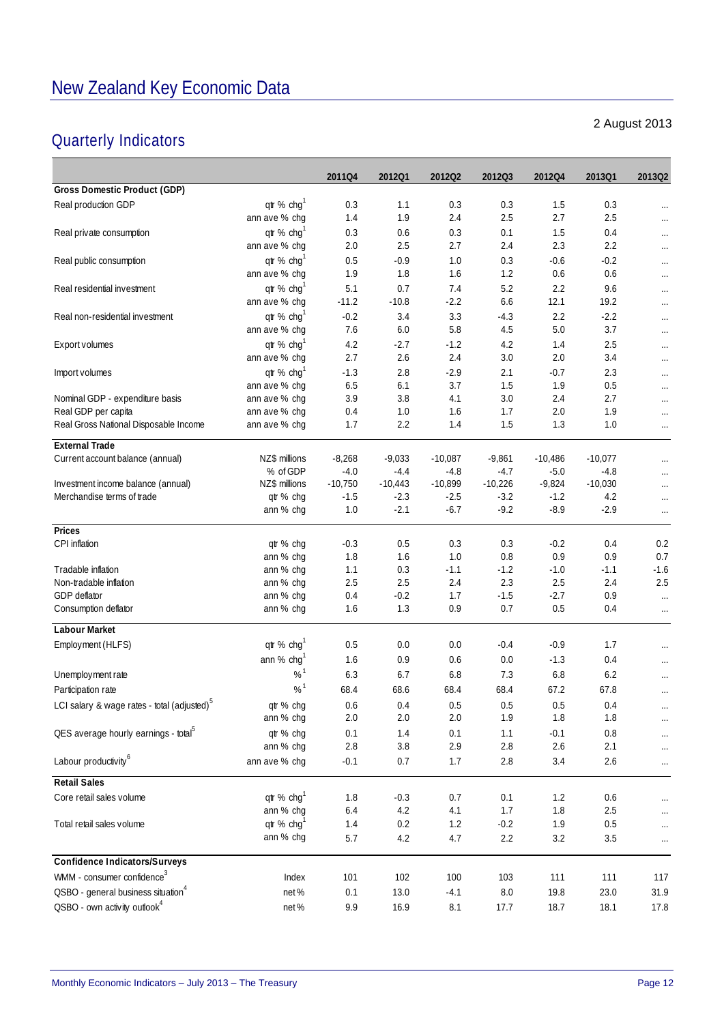### Quarterly Indicators

#### **2011Q4 2012Q1 2012Q2 2012Q3 2012Q4 2013Q1 2013Q2 Gross Domestic Product (GDP)** Real production GDP  $q$ tr % chg<sup>1</sup> 0.3 1.1 0.3 0.3 1.5 0.3 ... ann ave % chg 1.4 1.9 2.4 2.5 2.7 2.5 ... Real private consumption  $\text{qr } 8 \text{ chg}^1$  0.3 0.6 0.3 0.1 1.5 0.4 ann ave % chg 2.0 2.5 2.7 2.4 2.3 2.2 ... Real public consumption  $\text{at } 96 \text{ chg}^1$  0.5  $-0.9$  1.0 0.3  $-0.6$   $-0.2$ ann ave % chg 1.9 1.8 1.6 1.2 0.6 0.6 Real residential investment  $\text{qr } \% \text{ chq}^1$  5.1 0.7 7.4 5.2 2.2 9.6 ann ave % chg -11.2 -10.8 -2.2 6.6 12.1 19.2 Real non-residential investment  $\text{qr } \% \text{ chq}^1$   $-0.2$   $3.4$   $3.3$   $-4.3$   $2.2$   $-2.2$  ... ann ave % chg 7.6 6.0 5.8 4.5 5.0 3.7 ... Export volumes  $\text{qr } \% \text{ chg}^1$  4.2 -2.7 -1.2 4.2 1.4 2.5 ... ann ave % chg 2.7 2.6 2.4 3.0 2.0 3.4 ... Import volumes the state of the state of the state of the state of the state of the state of the state of the state of the state of the state of the state of the state of the state of the state of the state of the state o ann ave % chg 6.5 6.1 3.7 1.5 1.9 0.5 ... Nominal GDP - expenditure basis ann ave % chg 3.9 3.8 4.1 3.0 2.4 2.7 ... Real GDP per capita ann ave % chg 0.4 1.0 1.6 1.7 2.0 1.9 ... Real Gross National Disposable Income ann ave % chg 1.7 2.2 1.4 1.5 1.3 1.0 ... **External Trade** Current account balance (annual)  $NZ$$  millions  $-8,268$   $-9,033$   $-10,087$   $-9,861$   $-10,486$   $-10,077$ % of GDP -4.0 -4.4 -4.8 -4.7 -5.0 -4.8 ... Investment income balance (annual) NZ\$ millions -10,750 -10,443 -10,899 -10,226 -9,824 -10,030 ... Merchandise terms of trade  $q$ tr % chg -1.5 -2.3 -2.5 -3.2 -1.2 -4.2 ... ann % chg 1.0 -2.1 -6.7 -9.2 -8.9 -2.9 ... **Prices** CPI inflation qtr % chg -0.3 0.5 0.3 0.3 -0.2 0.4 0.2 ann % chg 1.8 1.6 1.0 0.8 0.9 0.9 0.7 Tradable inflation ann % chg 1.1 0.3 -1.1 -1.2 -1.0 -1.1 -1.6 Non-tradable inflation ann % chg 2.5 2.5 2.4 2.3 2.5 2.4 2.5 GDP deflator ann % chg 0.4 -0.2 1.7 -1.5 -2.7 0.9 ... Consumption deflator announce that the consumption deflator announce that the consumption deflator announce that the consumption deflator and the consumption deflator and the consumption deflator announce announce consumpt **Labour Market** Employment (HLFS)  $q\text{tr }\% \text{ chg}^1$  0.5 0.0 0.0 -0.4 -0.9 1.7 ... ann % chg<sup>1</sup> 1.6 0.9 0.6 0.0 -1.3 0.4 Unemployment rate  $10^{6}$  6.3 6.7 6.8 7.3 6.8 6.2 ... Participation rate  $10^{11}$  68.4 68.6 68.4 68.4 68.4 67.2 67.8 ... LCI salary & wage rates - total (adjusted)<sup>5</sup> qtr % chg  $0.6$  0.4  $0.5$  0.5 0.5 0.4 ... ann % chg 2.0 2.0 2.0 1.9 1.8 1.8 ... QES average hourly earnings - total<sup>5</sup> and the % chg 0.1 1.4 0.1 1.1 -0.1 0.8 ... ann % chg 2.8 3.8 2.9 2.8 2.6 2.1 ... Labour productivity<sup>6</sup> ann ave % chg  $-0.1$  0.7  $1.7$   $2.8$   $3.4$   $2.6$  ... **Retail Sales** Core retail sales volume  $q\mathfrak{t} \, \%$  chq<sup>1</sup> 1.8 0.3 0.7 0.1 1.2 0.6 ...ann % chg 6.4 4.2 4.1 1.7 1.8 2.5 ... Total retail sales volume  $q\mathfrak{t} \, \%$  chq<sup>1</sup> 1.4 0.2 1.2 0.2 1.9 0.5 ...ann % chg 5.7 4.2 4.7 2.2 3.2 3.5 ... **Confidence Indicators/Surveys** WMM - consumer confidence<sup>3</sup>  $\frac{101}{2}$   $\frac{102}{2}$  102 100 103 111 111 111 QSBO - general business situation<sup>4</sup> net % 0.1 13.0 -4.1 8.0 19.8 23.0 31.9 QSBO - own activity outlook4 net % 9.9 16.9 8.1 17.7 18.7 18.1 17.8

#### 2 August 2013